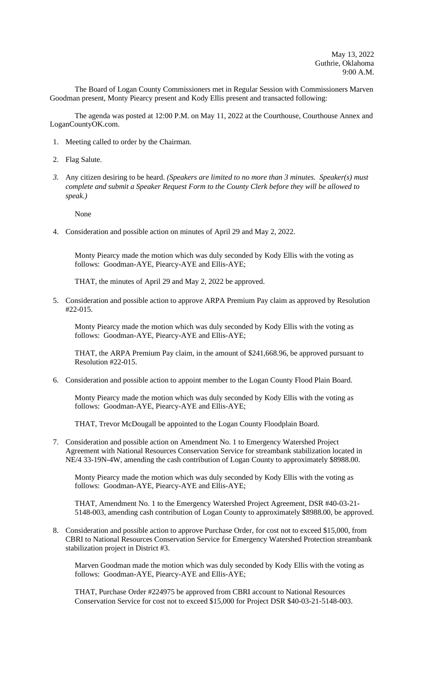The Board of Logan County Commissioners met in Regular Session with Commissioners Marven Goodman present, Monty Piearcy present and Kody Ellis present and transacted following:

The agenda was posted at 12:00 P.M. on May 11, 2022 at the Courthouse, Courthouse Annex and LoganCountyOK.com.

- 1. Meeting called to order by the Chairman.
- 2. Flag Salute.
- *3.* Any citizen desiring to be heard. *(Speakers are limited to no more than 3 minutes. Speaker(s) must complete and submit a Speaker Request Form to the County Clerk before they will be allowed to speak.)*

None

4. Consideration and possible action on minutes of April 29 and May 2, 2022.

Monty Piearcy made the motion which was duly seconded by Kody Ellis with the voting as follows: Goodman-AYE, Piearcy-AYE and Ellis-AYE;

THAT, the minutes of April 29 and May 2, 2022 be approved.

5. Consideration and possible action to approve ARPA Premium Pay claim as approved by Resolution #22-015.

Monty Piearcy made the motion which was duly seconded by Kody Ellis with the voting as follows: Goodman-AYE, Piearcy-AYE and Ellis-AYE;

THAT, the ARPA Premium Pay claim, in the amount of \$241,668.96, be approved pursuant to Resolution #22-015.

6. Consideration and possible action to appoint member to the Logan County Flood Plain Board.

Monty Piearcy made the motion which was duly seconded by Kody Ellis with the voting as follows: Goodman-AYE, Piearcy-AYE and Ellis-AYE;

THAT, Trevor McDougall be appointed to the Logan County Floodplain Board.

7. Consideration and possible action on Amendment No. 1 to Emergency Watershed Project Agreement with National Resources Conservation Service for streambank stabilization located in NE/4 33-19N-4W, amending the cash contribution of Logan County to approximately \$8988.00.

Monty Piearcy made the motion which was duly seconded by Kody Ellis with the voting as follows: Goodman-AYE, Piearcy-AYE and Ellis-AYE;

THAT, Amendment No. 1 to the Emergency Watershed Project Agreement, DSR #40-03-21- 5148-003, amending cash contribution of Logan County to approximately \$8988.00, be approved.

8. Consideration and possible action to approve Purchase Order, for cost not to exceed \$15,000, from CBRI to National Resources Conservation Service for Emergency Watershed Protection streambank stabilization project in District #3.

Marven Goodman made the motion which was duly seconded by Kody Ellis with the voting as follows: Goodman-AYE, Piearcy-AYE and Ellis-AYE;

THAT, Purchase Order #224975 be approved from CBRI account to National Resources Conservation Service for cost not to exceed \$15,000 for Project DSR \$40-03-21-5148-003.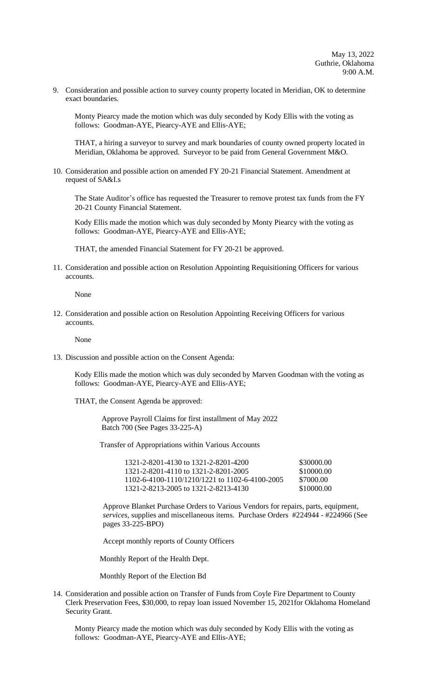9. Consideration and possible action to survey county property located in Meridian, OK to determine exact boundaries.

Monty Piearcy made the motion which was duly seconded by Kody Ellis with the voting as follows: Goodman-AYE, Piearcy-AYE and Ellis-AYE;

THAT, a hiring a surveyor to survey and mark boundaries of county owned property located in Meridian, Oklahoma be approved. Surveyor to be paid from General Government M&O.

10. Consideration and possible action on amended FY 20-21 Financial Statement. Amendment at request of SA&I.s

The State Auditor's office has requested the Treasurer to remove protest tax funds from the FY 20-21 County Financial Statement.

Kody Ellis made the motion which was duly seconded by Monty Piearcy with the voting as follows: Goodman-AYE, Piearcy-AYE and Ellis-AYE;

THAT, the amended Financial Statement for FY 20-21 be approved.

11. Consideration and possible action on Resolution Appointing Requisitioning Officers for various accounts.

None

12. Consideration and possible action on Resolution Appointing Receiving Officers for various accounts.

None

13. Discussion and possible action on the Consent Agenda:

Kody Ellis made the motion which was duly seconded by Marven Goodman with the voting as follows: Goodman-AYE, Piearcy-AYE and Ellis-AYE;

THAT, the Consent Agenda be approved:

 Approve Payroll Claims for first installment of May 2022 Batch 700 (See Pages 33-225-A)

Transfer of Appropriations within Various Accounts

| 1321-2-8201-4130 to 1321-2-8201-4200           | \$30000.00 |
|------------------------------------------------|------------|
| 1321-2-8201-4110 to 1321-2-8201-2005           | \$10000.00 |
| 1102-6-4100-1110/1210/1221 to 1102-6-4100-2005 | \$7000.00  |
| 1321-2-8213-2005 to 1321-2-8213-4130           | \$10000.00 |

Approve Blanket Purchase Orders to Various Vendors for repairs, parts, equipment, *services*, supplies and miscellaneous items. Purchase Orders #224944 - #224966 (See pages 33-225-BPO)

Accept monthly reports of County Officers

Monthly Report of the Health Dept.

Monthly Report of the Election Bd

14. Consideration and possible action on Transfer of Funds from Coyle Fire Department to County Clerk Preservation Fees, \$30,000, to repay loan issued November 15, 2021for Oklahoma Homeland Security Grant.

Monty Piearcy made the motion which was duly seconded by Kody Ellis with the voting as follows: Goodman-AYE, Piearcy-AYE and Ellis-AYE;